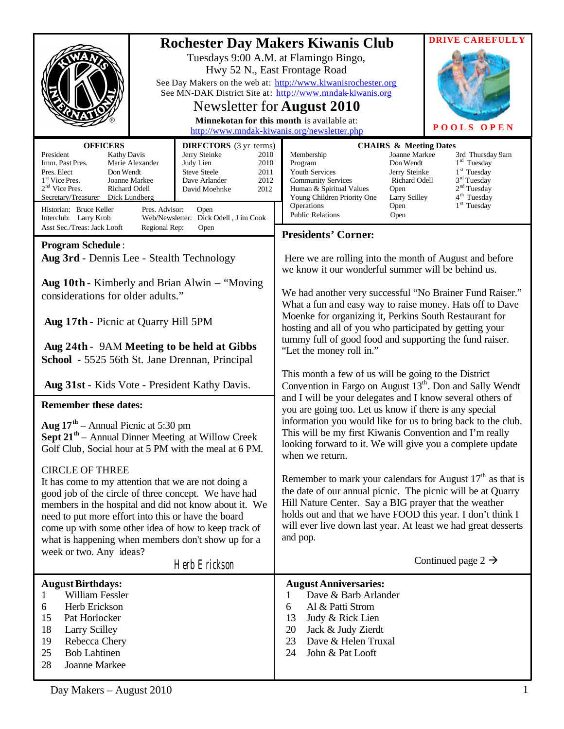|                                                                                                                                                                                                                                                                                                                                                                                                                                                                                                                                      | <b>DRIVE CAREFULLY</b><br><b>Rochester Day Makers Kiwanis Club</b><br>Tuesdays 9:00 A.M. at Flamingo Bingo,<br>Hwy 52 N., East Frontage Road<br>See Day Makers on the web at: http://www.kiwanisrochester.org<br>See MN-DAK District Site at: http://www.mndak-kiwanis.org<br>Newsletter for <b>August</b> 2010<br>Minnekotan for this month is available at:<br><b>POOLS OPEN</b><br>http://www.mndak-kiwanis.org/newsletter.php                                    |
|--------------------------------------------------------------------------------------------------------------------------------------------------------------------------------------------------------------------------------------------------------------------------------------------------------------------------------------------------------------------------------------------------------------------------------------------------------------------------------------------------------------------------------------|----------------------------------------------------------------------------------------------------------------------------------------------------------------------------------------------------------------------------------------------------------------------------------------------------------------------------------------------------------------------------------------------------------------------------------------------------------------------|
| <b>OFFICERS</b><br><b>DIRECTORS</b> (3 yr terms)<br>Jerry Steinke<br>President<br><b>Kathy Davis</b><br>2010<br>Imm. Past Pres.<br>Marie Alexander<br>Judy Lien<br>2010<br><b>Steve Steele</b><br>Pres. Elect<br>Don Wendt<br>2011<br>1 <sup>st</sup> Vice Pres.<br>Joanne Markee<br>Dave Arlander<br>2012<br>$2nd$ Vice Pres.<br>Richard Odell<br>2012<br>David Moehnke<br>Secretary/Treasurer Dick Lundberg<br>Historian: Bruce Keller<br>Pres. Advisor:<br>Open<br>Web/Newsletter: Dick Odell, J im Cook<br>Interclub: Larry Krob | <b>CHAIRS &amp; Meeting Dates</b><br>Joanne Markee<br>Membership<br>3rd Thursday 9am<br>$1rd$ Tuesday<br>Don Wendt<br>Program<br>$1st$ Tuesday<br>Youth Services<br>Jerry Steinke<br>$3rd$ Tuesday<br><b>Community Services</b><br>Richard Odell<br>2 <sup>nd</sup> Tuesday<br>Human & Spiritual Values<br>Open<br>$4^{\text{th}}$ Tuesday<br>Young Children Priority One<br>Larry Scilley<br>$1st$ Tuesday<br>Operations<br>Open<br><b>Public Relations</b><br>Open |
| Asst Sec./Treas: Jack Looft<br>Regional Rep:<br>Open                                                                                                                                                                                                                                                                                                                                                                                                                                                                                 | <b>Presidents' Corner:</b>                                                                                                                                                                                                                                                                                                                                                                                                                                           |
| <b>Program Schedule:</b><br>Aug 3rd - Dennis Lee - Stealth Technology<br>Aug 10th - Kimberly and Brian Alwin – "Moving"                                                                                                                                                                                                                                                                                                                                                                                                              | Here we are rolling into the month of August and before<br>we know it our wonderful summer will be behind us.                                                                                                                                                                                                                                                                                                                                                        |
| considerations for older adults."                                                                                                                                                                                                                                                                                                                                                                                                                                                                                                    | We had another very successful "No Brainer Fund Raiser."                                                                                                                                                                                                                                                                                                                                                                                                             |
| Aug 17th - Picnic at Quarry Hill 5PM<br>Aug 24th - 9AM Meeting to be held at Gibbs                                                                                                                                                                                                                                                                                                                                                                                                                                                   | What a fun and easy way to raise money. Hats off to Dave<br>Moenke for organizing it, Perkins South Restaurant for<br>hosting and all of you who participated by getting your<br>tummy full of good food and supporting the fund raiser.                                                                                                                                                                                                                             |
| School - 5525 56th St. Jane Drennan, Principal                                                                                                                                                                                                                                                                                                                                                                                                                                                                                       | "Let the money roll in."                                                                                                                                                                                                                                                                                                                                                                                                                                             |
| Aug 31st - Kids Vote - President Kathy Davis.                                                                                                                                                                                                                                                                                                                                                                                                                                                                                        | This month a few of us will be going to the District<br>Convention in Fargo on August 13 <sup>th</sup> . Don and Sally Wendt<br>and I will be your delegates and I know several others of                                                                                                                                                                                                                                                                            |
| <b>Remember these dates:</b><br><b>Aug 17<sup>th</sup></b> – Annual Picnic at 5:30 pm<br><b>Sept 21<sup>th</sup></b> – Annual Dinner Meeting at Willow Creek<br>Golf Club, Social hour at 5 PM with the meal at 6 PM.                                                                                                                                                                                                                                                                                                                | you are going too. Let us know if there is any special<br>information you would like for us to bring back to the club.<br>This will be my first Kiwanis Convention and I'm really<br>looking forward to it. We will give you a complete update<br>when we return.                                                                                                                                                                                                    |
| <b>CIRCLE OF THREE</b><br>It has come to my attention that we are not doing a<br>good job of the circle of three concept. We have had<br>members in the hospital and did not know about it. We<br>need to put more effort into this or have the board<br>come up with some other idea of how to keep track of<br>what is happening when members don't show up for a<br>week or two. Any ideas?                                                                                                                                       | Remember to mark your calendars for August $17th$ as that is<br>the date of our annual picnic. The picnic will be at Quarry<br>Hill Nature Center. Say a BIG prayer that the weather<br>holds out and that we have FOOD this year. I don't think I<br>will ever live down last year. At least we had great desserts<br>and pop.                                                                                                                                      |
| Herb Erickson                                                                                                                                                                                                                                                                                                                                                                                                                                                                                                                        | Continued page 2 $\rightarrow$                                                                                                                                                                                                                                                                                                                                                                                                                                       |
| <b>August Birthdays:</b><br>William Fessler<br>1<br>Herb Erickson<br>6<br>15<br>Pat Horlocker<br>18<br><b>Larry Scilley</b><br>19<br>Rebecca Chery<br>25<br><b>Bob Lahtinen</b><br>28<br>Joanne Markee                                                                                                                                                                                                                                                                                                                               | <b>August Anniversaries:</b><br>Dave & Barb Arlander<br>1<br>Al & Patti Strom<br>6<br>13<br>Judy & Rick Lien<br>20<br>Jack & Judy Zierdt<br>23<br>Dave & Helen Truxal<br>24<br>John & Pat Looft                                                                                                                                                                                                                                                                      |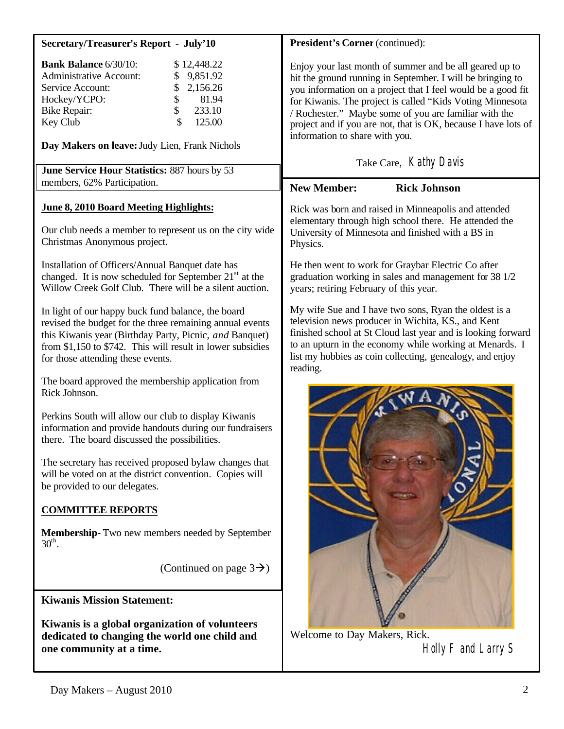| <b>Secretary/Treasurer's Report - July'10</b>                                                                                                                                                                                                                                                                                       | President's Corner (continued):                                                                                                                                                                                                                                                                                                                                                                                                           |
|-------------------------------------------------------------------------------------------------------------------------------------------------------------------------------------------------------------------------------------------------------------------------------------------------------------------------------------|-------------------------------------------------------------------------------------------------------------------------------------------------------------------------------------------------------------------------------------------------------------------------------------------------------------------------------------------------------------------------------------------------------------------------------------------|
| <b>Bank Balance 6/30/10:</b><br>\$12,448.22<br><b>Administrative Account:</b><br>9,851.92<br>\$<br>2,156.26<br>Service Account:<br>\$<br>Hockey/YCPO:<br>\$<br>81.94<br>\$<br>233.10<br><b>Bike Repair:</b><br>125.00<br>Key Club<br>Day Makers on leave: Judy Lien, Frank Nichols<br>June Service Hour Statistics: 887 hours by 53 | Enjoy your last month of summer and be all geared up to<br>hit the ground running in September. I will be bringing to<br>you information on a project that I feel would be a good fit<br>for Kiwanis. The project is called "Kids Voting Minnesota<br>/ Rochester." Maybe some of you are familiar with the<br>project and if you are not, that is OK, because I have lots of<br>information to share with you.<br>Take Care, Kathy Davis |
| members, 62% Participation.                                                                                                                                                                                                                                                                                                         | <b>New Member:</b><br><b>Rick Johnson</b>                                                                                                                                                                                                                                                                                                                                                                                                 |
| June 8, 2010 Board Meeting Highlights:<br>Our club needs a member to represent us on the city wide<br>Christmas Anonymous project.                                                                                                                                                                                                  | Rick was born and raised in Minneapolis and attended<br>elementary through high school there. He attended the<br>University of Minnesota and finished with a BS in<br>Physics.                                                                                                                                                                                                                                                            |
| Installation of Officers/Annual Banquet date has<br>changed. It is now scheduled for September $21st$ at the<br>Willow Creek Golf Club. There will be a silent auction.                                                                                                                                                             | He then went to work for Graybar Electric Co after<br>graduation working in sales and management for 38 1/2<br>years; retiring February of this year.                                                                                                                                                                                                                                                                                     |
| In light of our happy buck fund balance, the board<br>revised the budget for the three remaining annual events<br>this Kiwanis year (Birthday Party, Picnic, and Banquet)<br>from $$1,150$ to $$742$ . This will result in lower subsidies<br>for those attending these events.                                                     | My wife Sue and I have two sons, Ryan the oldest is a<br>television news producer in Wichita, KS., and Kent<br>finished school at St Cloud last year and is looking forward<br>to an upturn in the economy while working at Menards. I<br>list my hobbies as coin collecting, genealogy, and enjoy<br>reading.                                                                                                                            |
| The board approved the membership application from<br>Rick Johnson.<br>Perkins South will allow our club to display Kiwanis<br>information and provide handouts during our fundraisers<br>there. The board discussed the possibilities.                                                                                             |                                                                                                                                                                                                                                                                                                                                                                                                                                           |
| The secretary has received proposed bylaw changes that<br>will be voted on at the district convention. Copies will<br>be provided to our delegates.                                                                                                                                                                                 |                                                                                                                                                                                                                                                                                                                                                                                                                                           |
| <b>COMMITTEE REPORTS</b>                                                                                                                                                                                                                                                                                                            |                                                                                                                                                                                                                                                                                                                                                                                                                                           |
| <b>Membership-</b> Two new members needed by September<br>$30^{\text{th}}$ .                                                                                                                                                                                                                                                        |                                                                                                                                                                                                                                                                                                                                                                                                                                           |
| (Continued on page $3\rightarrow$ )                                                                                                                                                                                                                                                                                                 |                                                                                                                                                                                                                                                                                                                                                                                                                                           |
| <b>Kiwanis Mission Statement:</b>                                                                                                                                                                                                                                                                                                   |                                                                                                                                                                                                                                                                                                                                                                                                                                           |
| Kiwanis is a global organization of volunteers<br>dedicated to changing the world one child and<br>one community at a time.                                                                                                                                                                                                         | Welcome to Day Makers, Rick.<br>Holly F and Larry S                                                                                                                                                                                                                                                                                                                                                                                       |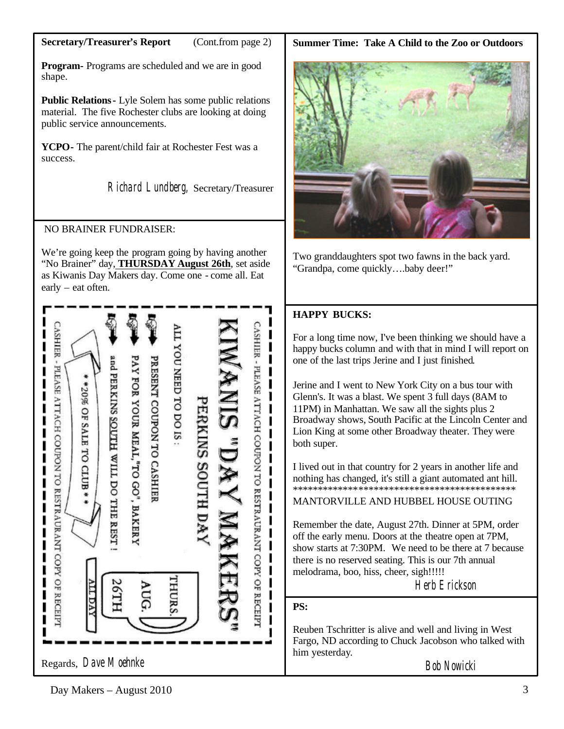### **Secretary/Treasurer's Report** (Cont.from page 2)

**Program-** Programs are scheduled and we are in good shape.

**Public Relations-** Lyle Solem has some public relations material. The five Rochester clubs are looking at doing public service announcements.

**YCPO-** The parent/child fair at Rochester Fest was a success.

Richard Lundberg, Secretary/Treasurer

## NO BRAINER FUNDRAISER:

We're going keep the program going by having another "No Brainer" day, **THURSDAY August 26th**, set aside as Kiwanis Day Makers day. Come one - come all. Eat early – eat often.



#### **Summer Time: Take A Child to the Zoo or Outdoors**



Two granddaughters spot two fawns in the back yard. "Grandpa, come quickly….baby deer!"

# **HAPPY BUCKS:**

For a long time now, I've been thinking we should have a happy bucks column and with that in mind I will report on one of the last trips Jerine and I just finished.

Jerine and I went to New York City on a bus tour with Glenn's. It was a blast. We spent 3 full days (8AM to 11PM) in Manhattan. We saw all the sights plus 2 Broadway shows, South Pacific at the Lincoln Center and Lion King at some other Broadway theater. They were both super.

I lived out in that country for 2 years in another life and nothing has changed, it's still a giant automated ant hill. \*\*\*\*\*\*\*\*\*\*\*\*\*\*\*\*\*\*\*\*\*\*\*\*\*\*\*\*\*\*\*\*\*\*\*\*\*\*\*\*\*\*\*\*

MANTORVILLE AND HUBBEL HOUSE OUTING

Remember the date, August 27th. Dinner at 5PM, order off the early menu. Doors at the theatre open at 7PM, show starts at 7:30PM. We need to be there at 7 because there is no reserved seating. This is our 7th annual melodrama, boo, hiss, cheer, sigh!!!!!

Herb Erickson

## **PS:**

Reuben Tschritter is alive and well and living in West Fargo, ND according to Chuck Jacobson who talked with him yesterday.

Bob Nowicki

## $Day \text{Makers} - August \space 2010$  3